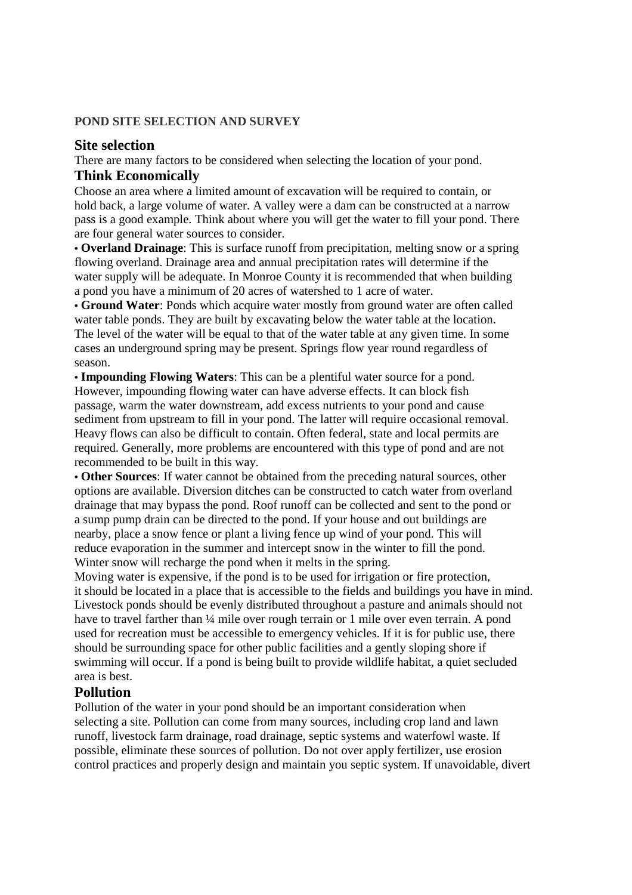#### **POND SITE SELECTION AND SURVEY**

#### **Site selection**

There are many factors to be considered when selecting the location of your pond.

### **Think Economically**

Choose an area where a limited amount of excavation will be required to contain, or hold back, a large volume of water. A valley were a dam can be constructed at a narrow pass is a good example. Think about where you will get the water to fill your pond. There are four general water sources to consider.

• **Overland Drainage**: This is surface runoff from precipitation, melting snow or a spring flowing overland. Drainage area and annual precipitation rates will determine if the water supply will be adequate. In Monroe County it is recommended that when building a pond you have a minimum of 20 acres of watershed to 1 acre of water.

• **Ground Water**: Ponds which acquire water mostly from ground water are often called water table ponds. They are built by excavating below the water table at the location. The level of the water will be equal to that of the water table at any given time. In some cases an underground spring may be present. Springs flow year round regardless of season.

• **Impounding Flowing Waters**: This can be a plentiful water source for a pond. However, impounding flowing water can have adverse effects. It can block fish passage, warm the water downstream, add excess nutrients to your pond and cause sediment from upstream to fill in your pond. The latter will require occasional removal. Heavy flows can also be difficult to contain. Often federal, state and local permits are required. Generally, more problems are encountered with this type of pond and are not recommended to be built in this way.

• **Other Sources**: If water cannot be obtained from the preceding natural sources, other options are available. Diversion ditches can be constructed to catch water from overland drainage that may bypass the pond. Roof runoff can be collected and sent to the pond or a sump pump drain can be directed to the pond. If your house and out buildings are nearby, place a snow fence or plant a living fence up wind of your pond. This will reduce evaporation in the summer and intercept snow in the winter to fill the pond. Winter snow will recharge the pond when it melts in the spring.

Moving water is expensive, if the pond is to be used for irrigation or fire protection, it should be located in a place that is accessible to the fields and buildings you have in mind. Livestock ponds should be evenly distributed throughout a pasture and animals should not have to travel farther than 1/4 mile over rough terrain or 1 mile over even terrain. A pond used for recreation must be accessible to emergency vehicles. If it is for public use, there should be surrounding space for other public facilities and a gently sloping shore if swimming will occur. If a pond is being built to provide wildlife habitat, a quiet secluded area is best.

### **Pollution**

Pollution of the water in your pond should be an important consideration when selecting a site. Pollution can come from many sources, including crop land and lawn runoff, livestock farm drainage, road drainage, septic systems and waterfowl waste. If possible, eliminate these sources of pollution. Do not over apply fertilizer, use erosion control practices and properly design and maintain you septic system. If unavoidable, divert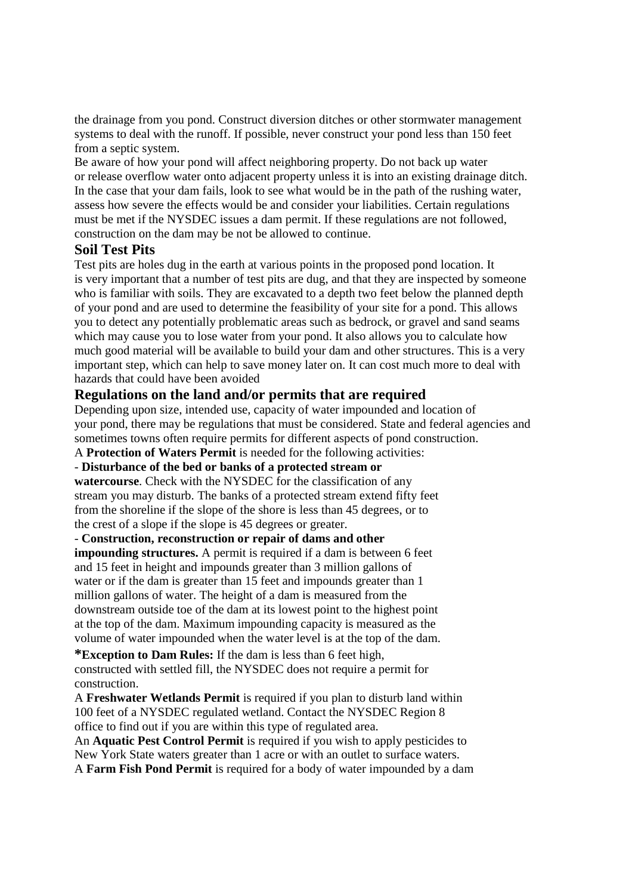the drainage from you pond. Construct diversion ditches or other stormwater management systems to deal with the runoff. If possible, never construct your pond less than 150 feet from a septic system.

Be aware of how your pond will affect neighboring property. Do not back up water or release overflow water onto adjacent property unless it is into an existing drainage ditch. In the case that your dam fails, look to see what would be in the path of the rushing water, assess how severe the effects would be and consider your liabilities. Certain regulations must be met if the NYSDEC issues a dam permit. If these regulations are not followed, construction on the dam may be not be allowed to continue.

### **Soil Test Pits**

Test pits are holes dug in the earth at various points in the proposed pond location. It is very important that a number of test pits are dug, and that they are inspected by someone who is familiar with soils. They are excavated to a depth two feet below the planned depth of your pond and are used to determine the feasibility of your site for a pond. This allows you to detect any potentially problematic areas such as bedrock, or gravel and sand seams which may cause you to lose water from your pond. It also allows you to calculate how much good material will be available to build your dam and other structures. This is a very important step, which can help to save money later on. It can cost much more to deal with hazards that could have been avoided

### **Regulations on the land and/or permits that are required**

Depending upon size, intended use, capacity of water impounded and location of your pond, there may be regulations that must be considered. State and federal agencies and sometimes towns often require permits for different aspects of pond construction.

A **Protection of Waters Permit** is needed for the following activities:

### - **Disturbance of the bed or banks of a protected stream or**

**watercourse**. Check with the NYSDEC for the classification of any stream you may disturb. The banks of a protected stream extend fifty feet from the shoreline if the slope of the shore is less than 45 degrees, or to the crest of a slope if the slope is 45 degrees or greater.

#### - **Construction, reconstruction or repair of dams and other impounding structures.** A permit is required if a dam is between 6 feet

and 15 feet in height and impounds greater than 3 million gallons of water or if the dam is greater than 15 feet and impounds greater than 1 million gallons of water. The height of a dam is measured from the downstream outside toe of the dam at its lowest point to the highest point at the top of the dam. Maximum impounding capacity is measured as the volume of water impounded when the water level is at the top of the dam.

**\*Exception to Dam Rules:** If the dam is less than 6 feet high, constructed with settled fill, the NYSDEC does not require a permit for construction.

A **Freshwater Wetlands Permit** is required if you plan to disturb land within 100 feet of a NYSDEC regulated wetland. Contact the NYSDEC Region 8 office to find out if you are within this type of regulated area.

An **Aquatic Pest Control Permit** is required if you wish to apply pesticides to New York State waters greater than 1 acre or with an outlet to surface waters. A **Farm Fish Pond Permit** is required for a body of water impounded by a dam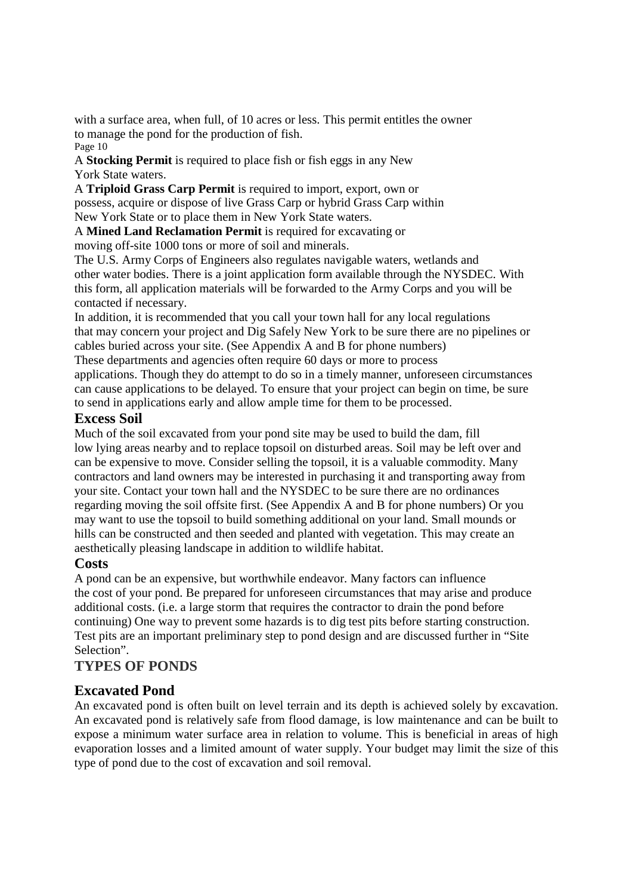with a surface area, when full, of 10 acres or less. This permit entitles the owner to manage the pond for the production of fish. Page 10

A **Stocking Permit** is required to place fish or fish eggs in any New York State waters.

A **Triploid Grass Carp Permit** is required to import, export, own or possess, acquire or dispose of live Grass Carp or hybrid Grass Carp within New York State or to place them in New York State waters.

A **Mined Land Reclamation Permit** is required for excavating or moving off-site 1000 tons or more of soil and minerals.

The U.S. Army Corps of Engineers also regulates navigable waters, wetlands and other water bodies. There is a joint application form available through the NYSDEC. With this form, all application materials will be forwarded to the Army Corps and you will be contacted if necessary.

In addition, it is recommended that you call your town hall for any local regulations that may concern your project and Dig Safely New York to be sure there are no pipelines or cables buried across your site. (See Appendix A and B for phone numbers) These departments and agencies often require 60 days or more to process

applications. Though they do attempt to do so in a timely manner, unforeseen circumstances can cause applications to be delayed. To ensure that your project can begin on time, be sure to send in applications early and allow ample time for them to be processed.

## **Excess Soil**

Much of the soil excavated from your pond site may be used to build the dam, fill low lying areas nearby and to replace topsoil on disturbed areas. Soil may be left over and can be expensive to move. Consider selling the topsoil, it is a valuable commodity. Many contractors and land owners may be interested in purchasing it and transporting away from your site. Contact your town hall and the NYSDEC to be sure there are no ordinances regarding moving the soil offsite first. (See Appendix A and B for phone numbers) Or you may want to use the topsoil to build something additional on your land. Small mounds or hills can be constructed and then seeded and planted with vegetation. This may create an aesthetically pleasing landscape in addition to wildlife habitat.

### **Costs**

A pond can be an expensive, but worthwhile endeavor. Many factors can influence the cost of your pond. Be prepared for unforeseen circumstances that may arise and produce additional costs. (i.e. a large storm that requires the contractor to drain the pond before continuing) One way to prevent some hazards is to dig test pits before starting construction. Test pits are an important preliminary step to pond design and are discussed further in "Site Selection".

# **TYPES OF PONDS**

# **Excavated Pond**

An excavated pond is often built on level terrain and its depth is achieved solely by excavation. An excavated pond is relatively safe from flood damage, is low maintenance and can be built to expose a minimum water surface area in relation to volume. This is beneficial in areas of high evaporation losses and a limited amount of water supply. Your budget may limit the size of this type of pond due to the cost of excavation and soil removal.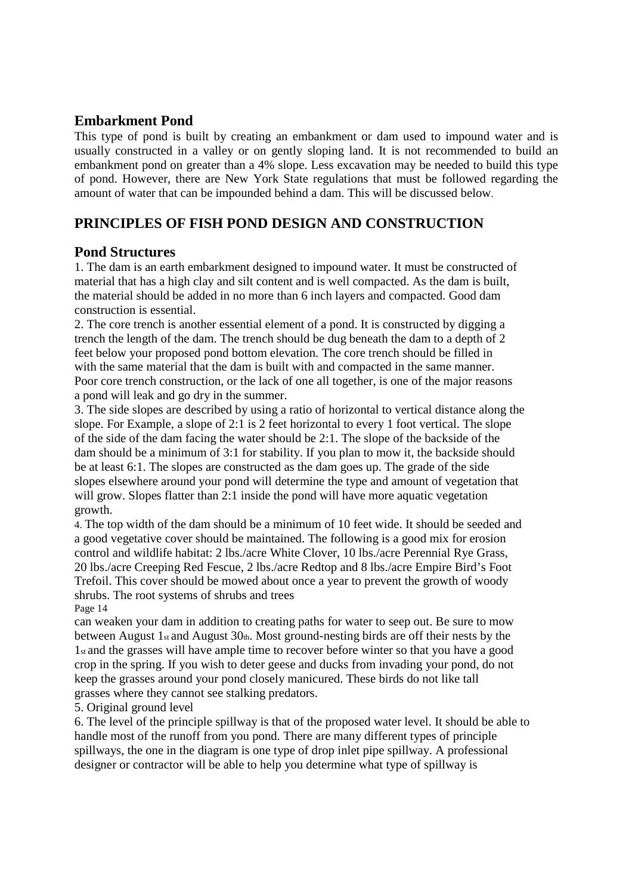### **Embarkment Pond**

This type of pond is built by creating an embankment or dam used to impound water and is usually constructed in a valley or on gently sloping land. It is not recommended to build an embankment pond on greater than a 4% slope. Less excavation may be needed to build this type of pond. However, there are New York State regulations that must be followed regarding the amount of water that can be impounded behind a dam. This will be discussed below.

# **PRINCIPLES OF FISH POND DESIGN AND CONSTRUCTION**

### **Pond Structures**

1. The dam is an earth embarkment designed to impound water. It must be constructed of material that has a high clay and silt content and is well compacted. As the dam is built, the material should be added in no more than 6 inch layers and compacted. Good dam construction is essential.

2. The core trench is another essential element of a pond. It is constructed by digging a trench the length of the dam. The trench should be dug beneath the dam to a depth of 2 feet below your proposed pond bottom elevation. The core trench should be filled in with the same material that the dam is built with and compacted in the same manner. Poor core trench construction, or the lack of one all together, is one of the major reasons a pond will leak and go dry in the summer.

3. The side slopes are described by using a ratio of horizontal to vertical distance along the slope. For Example, a slope of 2:1 is 2 feet horizontal to every 1 foot vertical. The slope of the side of the dam facing the water should be 2:1. The slope of the backside of the dam should be a minimum of 3:1 for stability. If you plan to mow it, the backside should be at least 6:1. The slopes are constructed as the dam goes up. The grade of the side slopes elsewhere around your pond will determine the type and amount of vegetation that will grow. Slopes flatter than 2:1 inside the pond will have more aquatic vegetation growth.

4. The top width of the dam should be a minimum of 10 feet wide. It should be seeded and a good vegetative cover should be maintained. The following is a good mix for erosion control and wildlife habitat: 2 lbs./acre White Clover, 10 lbs./acre Perennial Rye Grass, 20 lbs./acre Creeping Red Fescue, 2 lbs./acre Redtop and 8 lbs./acre Empire Bird's Foot Trefoil. This cover should be mowed about once a year to prevent the growth of woody shrubs. The root systems of shrubs and trees

Page 14

can weaken your dam in addition to creating paths for water to seep out. Be sure to mow between August 1st and August 30th. Most ground-nesting birds are off their nests by the 1st and the grasses will have ample time to recover before winter so that you have a good crop in the spring. If you wish to deter geese and ducks from invading your pond, do not keep the grasses around your pond closely manicured. These birds do not like tall grasses where they cannot see stalking predators.

### 5. Original ground level

6. The level of the principle spillway is that of the proposed water level. It should be able to handle most of the runoff from you pond. There are many different types of principle spillways, the one in the diagram is one type of drop inlet pipe spillway. A professional designer or contractor will be able to help you determine what type of spillway is